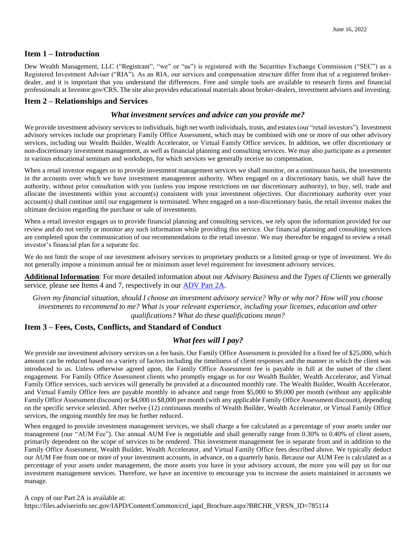#### **Item 1 – Introduction**

Dew Wealth Management, LLC ("Registrant", "we" or "us") is registered with the Securities Exchange Commission ("SEC") as a Registered Investment Adviser ("RIA"). As an RIA, our services and compensation structure differ from that of a registered brokerdealer, and it is important that you understand the differences. Free and simple tools are available to research firms and financial professionals at Investor.gov/CRS. The site also provides educational materials about broker-dealers, investment advisers and investing.

## **Item 2 – Relationships and Services**

#### *What investment services and advice can you provide me?*

We provide investment advisory services to individuals, high net worth individuals, trusts, and estates (our "retail investors"). Investment advisory services include our proprietary Family Office Assessment, which may be combined with one or more of our other advisory services, including our Wealth Builder, Wealth Accelerator, or Virtual Family Office services. In addition, we offer discretionary or non-discretionary investment management, as well as financial planning and consulting services. We may also participate as a presenter in various educational seminars and workshops, for which services we generally receive no compensation.

When a retail investor engages us to provide investment management services we shall monitor, on a continuous basis, the investments in the accounts over which we have investment management authority. When engaged on a discretionary basis, we shall have the authority, without prior consultation with you (unless you impose restrictions on our discretionary authority), to buy, sell, trade and allocate the investments within your account(s) consistent with your investment objectives. Our discretionary authority over your account(s) shall continue until our engagement is terminated. When engaged on a non-discretionary basis, the retail investor makes the ultimate decision regarding the purchase or sale of investments.

When a retail investor engages us to provide financial planning and consulting services, we rely upon the information provided for our review and do not verify or monitor any such information while providing this service. Our financial planning and consulting services are completed upon the communication of our recommendations to the retail investor. We may thereafter be engaged to review a retail investor's financial plan for a separate fee.

We do not limit the scope of our investment advisory services to proprietary products or a limited group or type of investment. We do not generally impose a minimum annual fee or minimum asset level requirement for investment advisory services.

**Additional Information**: For more detailed information about our *Advisory Business* and the *Types of Clients* we generally service, please see Items 4 and 7, respectively in our [ADV Part 2A.](https://files.adviserinfo.sec.gov/IAPD/Content/Common/crd_iapd_Brochure.aspx?BRCHR_VRSN_ID=785114)

*Given my financial situation, should I choose an investment advisory service? Why or why not? How will you choose investments to recommend to me? What is your relevant experience, including your licenses, education and other qualifications? What do these qualifications mean?*

## **Item 3 – Fees, Costs, Conflicts, and Standard of Conduct**

#### *What fees will I pay?*

We provide our investment advisory services on a fee basis. Our Family Office Assessment is provided for a fixed fee of \$25,000, which amount can be reduced based on a variety of factors including the timeliness of client responses and the manner in which the client was introduced to us. Unless otherwise agreed upon, the Family Office Assessment fee is payable in full at the outset of the client engagement. For Family Office Assessment clients who promptly engage us for our Wealth Builder, Wealth Accelerator, and Virtual Family Office services, such services will generally be provided at a discounted monthly rate. The Wealth Builder, Wealth Accelerator, and Virtual Family Office fees are payable monthly in advance and range from \$5,000 to \$9,000 per month (without any applicable Family Office Assessment discount) or \$4,000 to \$8,000 per month (with any applicable Family Office Assessment discount), depending on the specific service selected. After twelve (12) continuous months of Wealth Builder, Wealth Accelerator, or Virtual Family Office services, the ongoing monthly fee may be further reduced.

When engaged to provide investment management services, we shall charge a fee calculated as a percentage of your assets under our management (our "AUM Fee"). Our annual AUM Fee is negotiable and shall generally range from 0.30% to 0.40% of client assets, primarily dependent on the scope of services to be rendered. This investment management fee is separate from and in addition to the Family Office Assessment, Wealth Builder, Wealth Accelerator, and Virtual Family Office fees described above. We typically deduct our AUM Fee from one or more of your investment accounts, in advance, on a quarterly basis. Because our AUM Fee is calculated as a percentage of your assets under management, the more assets you have in your advisory account, the more you will pay us for our investment management services. Therefore, we have an incentive to encourage you to increase the assets maintained in accounts we manage.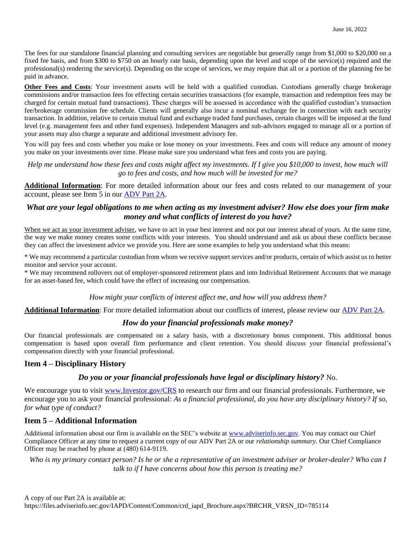The fees for our standalone financial planning and consulting services are negotiable but generally range from \$1,000 to \$20,000 on a fixed fee basis, and from \$300 to \$750 on an hourly rate basis, depending upon the level and scope of the service(s) required and the professional(s) rendering the service(s). Depending on the scope of services, we may require that all or a portion of the planning fee be paid in advance.

**Other Fees and Costs**: Your investment assets will be held with a qualified custodian. Custodians generally charge brokerage commissions and/or transaction fees for effecting certain securities transactions (for example, transaction and redemption fees may be charged for certain mutual fund transactions). These charges will be assessed in accordance with the qualified custodian's transaction fee/brokerage commission fee schedule. Clients will generally also incur a nominal exchange fee in connection with each security transaction. In addition, relative to certain mutual fund and exchange traded fund purchases, certain charges will be imposed at the fund level (e.g. management fees and other fund expenses). Independent Managers and sub-advisors engaged to manage all or a portion of your assets may also charge a separate and additional investment advisory fee.

You will pay fees and costs whether you make or lose money on your investments. Fees and costs will reduce any amount of money you make on your investments over time. Please make sure you understand what fees and costs you are paying.

*Help me understand how these fees and costs might affect my investments. If I give you \$10,000 to invest, how much will go to fees and costs, and how much will be invested for me?*

**Additional Information**: For more detailed information about our fees and costs related to our management of your account, please see Item 5 in our [ADV Part 2A.](https://files.adviserinfo.sec.gov/IAPD/Content/Common/crd_iapd_Brochure.aspx?BRCHR_VRSN_ID=785114)

# *What are your legal obligations to me when acting as my investment adviser? How else does your firm make money and what conflicts of interest do you have?*

When we act as your investment adviser, we have to act in your best interest and not put our interest ahead of yours. At the same time, the way we make money creates some conflicts with your interests. You should understand and ask us about these conflicts because they can affect the investment advice we provide you. Here are some examples to help you understand what this means:

\* We may recommend a particular custodian from whom we receive support services and/or products, certain of which assist us to better monitor and service your account.

\* We may recommend rollovers out of employer-sponsored retirement plans and into Individual Retirement Accounts that we manage for an asset-based fee, which could have the effect of increasing our compensation.

### *How might your conflicts of interest affect me, and how will you address them?*

**Additional Information**: For more detailed information about our conflicts of interest, please review our [ADV Part 2A.](https://files.adviserinfo.sec.gov/IAPD/Content/Common/crd_iapd_Brochure.aspx?BRCHR_VRSN_ID=785114)

## *How do your financial professionals make money?*

Our financial professionals are compensated on a salary basis, with a discretionary bonus component. This additional bonus compensation is based upon overall firm performance and client retention. You should discuss your financial professional's compensation directly with your financial professional.

### **Item 4 – Disciplinary History**

## *Do you or your financial professionals have legal or disciplinary history?* No.

We encourage you to visit [www.Investor.gov/CRS](http://www.investor.gov/CRS) to research our firm and our financial professionals. Furthermore, we encourage you to ask your financial professional: *As a financial professional, do you have any disciplinary history? If so, for what type of conduct?*

### **Item 5 – Additional Information**

Additional information about our firm is available on the SEC's website at [www.adviserinfo.sec.gov.](http://www.adviserinfo.sec.gov/) You may contact our Chief Compliance Officer at any time to request a current copy of our ADV Part 2A or our *relationship summary*. Our Chief Compliance Officer may be reached by phone at (480) 614-9119.

Who is my primary contact person? Is he or she a representative of an investment adviser or broker-dealer? Who can I *talk to if I have concerns about how this person is treating me?*